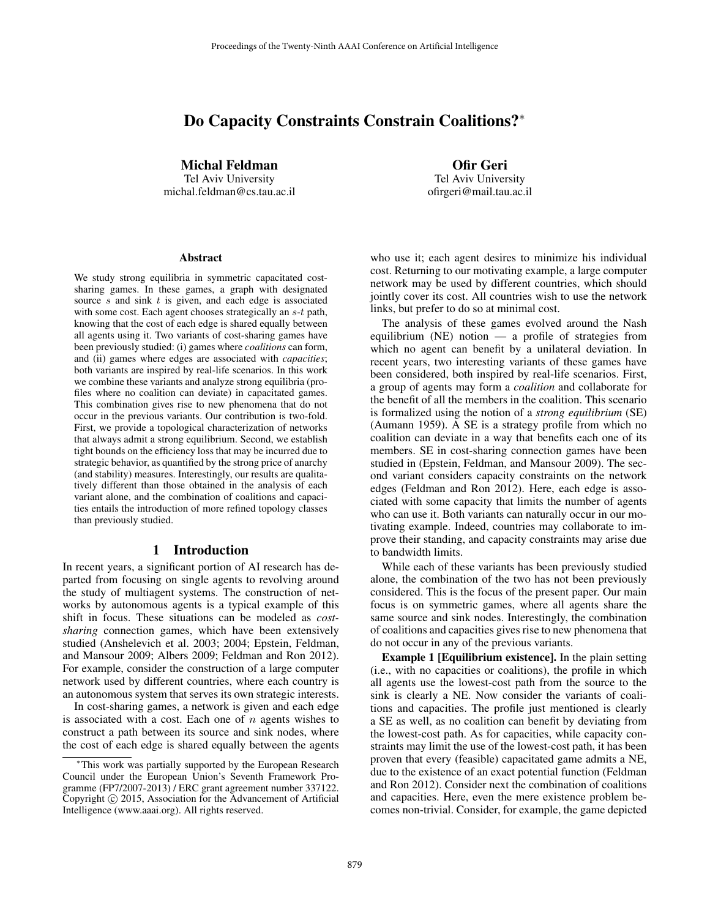# Do Capacity Constraints Constrain Coalitions?<sup>∗</sup>

Michal Feldman

Tel Aviv University michal.feldman@cs.tau.ac.il

Ofir Geri Tel Aviv University ofirgeri@mail.tau.ac.il

#### Abstract

We study strong equilibria in symmetric capacitated costsharing games. In these games, a graph with designated source  $s$  and sink  $t$  is given, and each edge is associated with some cost. Each agent chooses strategically an  $s-t$  path, knowing that the cost of each edge is shared equally between all agents using it. Two variants of cost-sharing games have been previously studied: (i) games where *coalitions* can form, and (ii) games where edges are associated with *capacities*; both variants are inspired by real-life scenarios. In this work we combine these variants and analyze strong equilibria (profiles where no coalition can deviate) in capacitated games. This combination gives rise to new phenomena that do not occur in the previous variants. Our contribution is two-fold. First, we provide a topological characterization of networks that always admit a strong equilibrium. Second, we establish tight bounds on the efficiency loss that may be incurred due to strategic behavior, as quantified by the strong price of anarchy (and stability) measures. Interestingly, our results are qualitatively different than those obtained in the analysis of each variant alone, and the combination of coalitions and capacities entails the introduction of more refined topology classes than previously studied.

#### 1 Introduction

In recent years, a significant portion of AI research has departed from focusing on single agents to revolving around the study of multiagent systems. The construction of networks by autonomous agents is a typical example of this shift in focus. These situations can be modeled as *costsharing* connection games, which have been extensively studied (Anshelevich et al. 2003; 2004; Epstein, Feldman, and Mansour 2009; Albers 2009; Feldman and Ron 2012). For example, consider the construction of a large computer network used by different countries, where each country is an autonomous system that serves its own strategic interests.

In cost-sharing games, a network is given and each edge is associated with a cost. Each one of  $n$  agents wishes to construct a path between its source and sink nodes, where the cost of each edge is shared equally between the agents

who use it; each agent desires to minimize his individual cost. Returning to our motivating example, a large computer network may be used by different countries, which should jointly cover its cost. All countries wish to use the network links, but prefer to do so at minimal cost.

The analysis of these games evolved around the Nash equilibrium (NE) notion — a profile of strategies from which no agent can benefit by a unilateral deviation. In recent years, two interesting variants of these games have been considered, both inspired by real-life scenarios. First, a group of agents may form a *coalition* and collaborate for the benefit of all the members in the coalition. This scenario is formalized using the notion of a *strong equilibrium* (SE) (Aumann 1959). A SE is a strategy profile from which no coalition can deviate in a way that benefits each one of its members. SE in cost-sharing connection games have been studied in (Epstein, Feldman, and Mansour 2009). The second variant considers capacity constraints on the network edges (Feldman and Ron 2012). Here, each edge is associated with some capacity that limits the number of agents who can use it. Both variants can naturally occur in our motivating example. Indeed, countries may collaborate to improve their standing, and capacity constraints may arise due to bandwidth limits.

While each of these variants has been previously studied alone, the combination of the two has not been previously considered. This is the focus of the present paper. Our main focus is on symmetric games, where all agents share the same source and sink nodes. Interestingly, the combination of coalitions and capacities gives rise to new phenomena that do not occur in any of the previous variants.

Example 1 [Equilibrium existence]. In the plain setting (i.e., with no capacities or coalitions), the profile in which all agents use the lowest-cost path from the source to the sink is clearly a NE. Now consider the variants of coalitions and capacities. The profile just mentioned is clearly a SE as well, as no coalition can benefit by deviating from the lowest-cost path. As for capacities, while capacity constraints may limit the use of the lowest-cost path, it has been proven that every (feasible) capacitated game admits a NE, due to the existence of an exact potential function (Feldman and Ron 2012). Consider next the combination of coalitions and capacities. Here, even the mere existence problem becomes non-trivial. Consider, for example, the game depicted

This work was partially supported by the European Research Council under the European Union's Seventh Framework Programme (FP7/2007-2013) / ERC grant agreement number 337122. Copyright © 2015, Association for the Advancement of Artificial Intelligence (www.aaai.org). All rights reserved.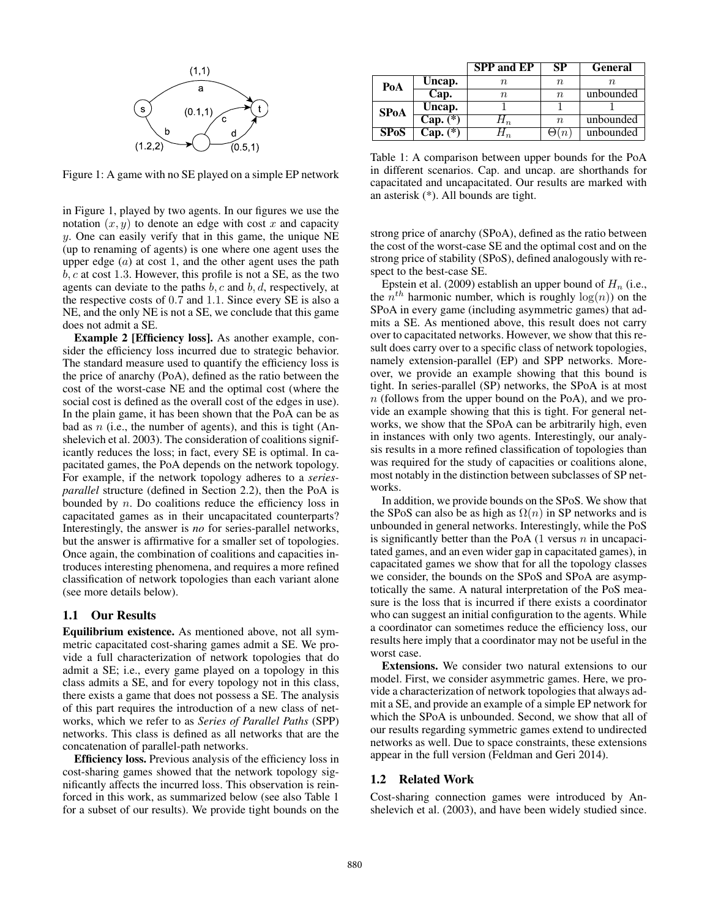

Figure 1: A game with no SE played on a simple EP network

in Figure 1, played by two agents. In our figures we use the notation  $(x, y)$  to denote an edge with cost x and capacity y. One can easily verify that in this game, the unique NE (up to renaming of agents) is one where one agent uses the upper edge  $(a)$  at cost 1, and the other agent uses the path  $b, c$  at cost 1.3. However, this profile is not a SE, as the two agents can deviate to the paths  $b, c$  and  $b, d$ , respectively, at the respective costs of 0.7 and 1.1. Since every SE is also a NE, and the only NE is not a SE, we conclude that this game does not admit a SE.

Example 2 [Efficiency loss]. As another example, consider the efficiency loss incurred due to strategic behavior. The standard measure used to quantify the efficiency loss is the price of anarchy (PoA), defined as the ratio between the cost of the worst-case NE and the optimal cost (where the social cost is defined as the overall cost of the edges in use). In the plain game, it has been shown that the PoA can be as bad as  $n$  (i.e., the number of agents), and this is tight (Anshelevich et al. 2003). The consideration of coalitions significantly reduces the loss; in fact, every SE is optimal. In capacitated games, the PoA depends on the network topology. For example, if the network topology adheres to a *seriesparallel* structure (defined in Section 2.2), then the PoA is bounded by  $n$ . Do coalitions reduce the efficiency loss in capacitated games as in their uncapacitated counterparts? Interestingly, the answer is *no* for series-parallel networks, but the answer is affirmative for a smaller set of topologies. Once again, the combination of coalitions and capacities introduces interesting phenomena, and requires a more refined classification of network topologies than each variant alone (see more details below).

## 1.1 Our Results

Equilibrium existence. As mentioned above, not all symmetric capacitated cost-sharing games admit a SE. We provide a full characterization of network topologies that do admit a SE; i.e., every game played on a topology in this class admits a SE, and for every topology not in this class, there exists a game that does not possess a SE. The analysis of this part requires the introduction of a new class of networks, which we refer to as *Series of Parallel Paths* (SPP) networks. This class is defined as all networks that are the concatenation of parallel-path networks.

Efficiency loss. Previous analysis of the efficiency loss in cost-sharing games showed that the network topology significantly affects the incurred loss. This observation is reinforced in this work, as summarized below (see also Table 1 for a subset of our results). We provide tight bounds on the

|             |            | <b>SPP</b> and EP         | SP               | General   |
|-------------|------------|---------------------------|------------------|-----------|
| PoA         | Uncap.     | п.                        | $\,n$            |           |
|             | Cap.       | п.                        | n                | unbounded |
| <b>SPoA</b> | Uncap.     |                           |                  |           |
|             | $Cap. (*)$ | $\bm{\mathsf{\Pi}}_{\,n}$ | $\boldsymbol{n}$ | unbounded |
| <b>SPoS</b> | $Cap. (*)$ |                           | (n               | unbounded |

Table 1: A comparison between upper bounds for the PoA in different scenarios. Cap. and uncap. are shorthands for capacitated and uncapacitated. Our results are marked with an asterisk (\*). All bounds are tight.

strong price of anarchy (SPoA), defined as the ratio between the cost of the worst-case SE and the optimal cost and on the strong price of stability (SPoS), defined analogously with respect to the best-case SE.

Epstein et al. (2009) establish an upper bound of  $H_n$  (i.e., the  $n^{th}$  harmonic number, which is roughly  $log(n)$ ) on the SPoA in every game (including asymmetric games) that admits a SE. As mentioned above, this result does not carry over to capacitated networks. However, we show that this result does carry over to a specific class of network topologies, namely extension-parallel (EP) and SPP networks. Moreover, we provide an example showing that this bound is tight. In series-parallel (SP) networks, the SPoA is at most n (follows from the upper bound on the PoA), and we provide an example showing that this is tight. For general networks, we show that the SPoA can be arbitrarily high, even in instances with only two agents. Interestingly, our analysis results in a more refined classification of topologies than was required for the study of capacities or coalitions alone, most notably in the distinction between subclasses of SP networks.

In addition, we provide bounds on the SPoS. We show that the SPoS can also be as high as  $\Omega(n)$  in SP networks and is unbounded in general networks. Interestingly, while the PoS is significantly better than the PoA  $(1 \text{ versus } n \text{ in uncapaci-})$ tated games, and an even wider gap in capacitated games), in capacitated games we show that for all the topology classes we consider, the bounds on the SPoS and SPoA are asymptotically the same. A natural interpretation of the PoS measure is the loss that is incurred if there exists a coordinator who can suggest an initial configuration to the agents. While a coordinator can sometimes reduce the efficiency loss, our results here imply that a coordinator may not be useful in the worst case.

Extensions. We consider two natural extensions to our model. First, we consider asymmetric games. Here, we provide a characterization of network topologies that always admit a SE, and provide an example of a simple EP network for which the SPoA is unbounded. Second, we show that all of our results regarding symmetric games extend to undirected networks as well. Due to space constraints, these extensions appear in the full version (Feldman and Geri 2014).

#### 1.2 Related Work

Cost-sharing connection games were introduced by Anshelevich et al. (2003), and have been widely studied since.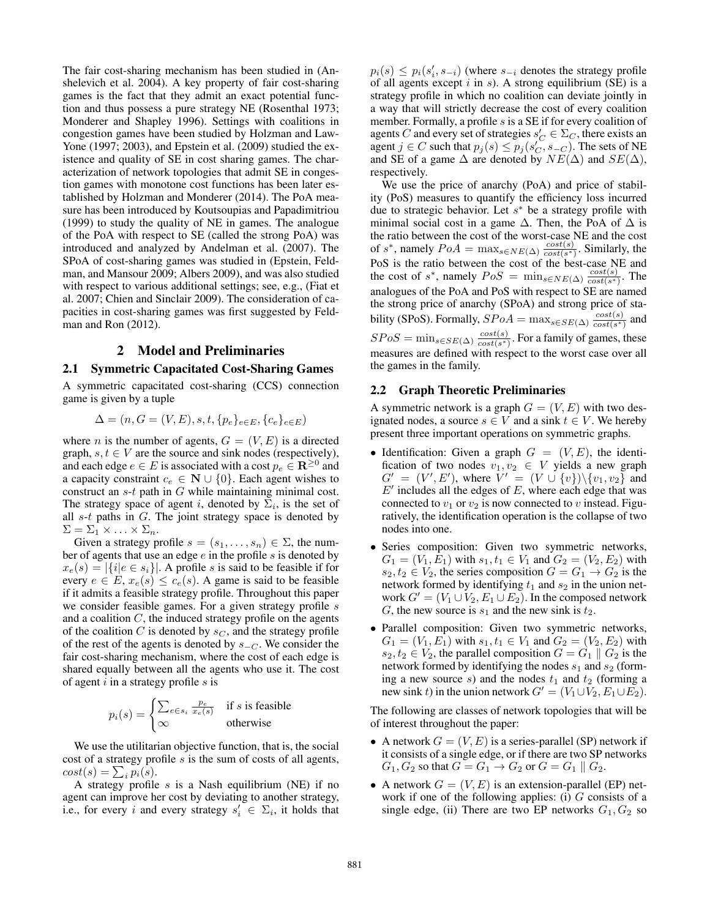The fair cost-sharing mechanism has been studied in (Anshelevich et al. 2004). A key property of fair cost-sharing games is the fact that they admit an exact potential function and thus possess a pure strategy NE (Rosenthal 1973; Monderer and Shapley 1996). Settings with coalitions in congestion games have been studied by Holzman and Law-Yone (1997; 2003), and Epstein et al. (2009) studied the existence and quality of SE in cost sharing games. The characterization of network topologies that admit SE in congestion games with monotone cost functions has been later established by Holzman and Monderer (2014). The PoA measure has been introduced by Koutsoupias and Papadimitriou (1999) to study the quality of NE in games. The analogue of the PoA with respect to SE (called the strong PoA) was introduced and analyzed by Andelman et al. (2007). The SPoA of cost-sharing games was studied in (Epstein, Feldman, and Mansour 2009; Albers 2009), and was also studied with respect to various additional settings; see, e.g., (Fiat et al. 2007; Chien and Sinclair 2009). The consideration of capacities in cost-sharing games was first suggested by Feldman and Ron (2012).

### 2 Model and Preliminaries

#### 2.1 Symmetric Capacitated Cost-Sharing Games

A symmetric capacitated cost-sharing (CCS) connection game is given by a tuple

$$
\Delta = (n, G = (V, E), s, t, \{p_e\}_{e \in E}, \{c_e\}_{e \in E})
$$

where *n* is the number of agents,  $G = (V, E)$  is a directed graph,  $s, t \in V$  are the source and sink nodes (respectively), and each edge  $e \in E$  is associated with a cost  $p_e \in \mathbf{R}^{\geq 0}$  and a capacity constraint  $c_e \in \mathbb{N} \cup \{0\}$ . Each agent wishes to construct an s-t path in G while maintaining minimal cost. The strategy space of agent *i*, denoted by  $\Sigma_i$ , is the set of all  $s-t$  paths in  $G$ . The joint strategy space is denoted by  $\Sigma = \Sigma_1 \times \ldots \times \Sigma_n$ .

Given a strategy profile  $s = (s_1, \ldots, s_n) \in \Sigma$ , the number of agents that use an edge  $e$  in the profile  $s$  is denoted by  $x_e(s) = |\{i|e \in s_i\}|$ . A profile s is said to be feasible if for every  $e \in E$ ,  $x_e(s) \leq c_e(s)$ . A game is said to be feasible if it admits a feasible strategy profile. Throughout this paper we consider feasible games. For a given strategy profile s and a coalition  $C$ , the induced strategy profile on the agents of the coalition  $C$  is denoted by  $s_C$ , and the strategy profile of the rest of the agents is denoted by  $s_{-C}$ . We consider the fair cost-sharing mechanism, where the cost of each edge is shared equally between all the agents who use it. The cost of agent  $i$  in a strategy profile  $s$  is

$$
p_i(s) = \begin{cases} \sum_{e \in s_i} \frac{p_e}{x_e(s)} & \text{if } s \text{ is feasible} \\ \infty & \text{otherwise} \end{cases}
$$

We use the utilitarian objective function, that is, the social cost of a strategy profile  $s$  is the sum of costs of all agents,  $cost(s) = \sum_i p_i(s).$ 

A strategy profile  $s$  is a Nash equilibrium (NE) if no agent can improve her cost by deviating to another strategy, i.e., for every i and every strategy  $s_i' \in \Sigma_i$ , it holds that

 $p_i(s) \leq p_i(s'_i, s_{-i})$  (where  $s_{-i}$  denotes the strategy profile of all agents except  $i$  in  $s$ ). A strong equilibrium (SE) is a strategy profile in which no coalition can deviate jointly in a way that will strictly decrease the cost of every coalition member. Formally, a profile s is a SE if for every coalition of agents C and every set of strategies  $s_C \in \Sigma_C$ , there exists an agent  $j \in C$  such that  $p_j(s) \leq p_j(s'_C, s_{-C})$ . The sets of NE and SE of a game  $\Delta$  are denoted by  $NE(\Delta)$  and  $SE(\Delta)$ , respectively.

We use the price of anarchy (PoA) and price of stability (PoS) measures to quantify the efficiency loss incurred due to strategic behavior. Let  $s^*$  be a strategy profile with minimal social cost in a game  $\Delta$ . Then, the PoA of  $\Delta$  is the ratio between the cost of the worst-case NE and the cost of s<sup>\*</sup>, namely  $PoA = \max_{s \in NE(\Delta)} \frac{cost(s)}{cost(s^*)}$  $\frac{cost(s)}{cost(s^*)}$ . Similarly, the PoS is the ratio between the cost of the best-case NE and the cost of s<sup>\*</sup>, namely  $PoS = \min_{s \in NE(\Delta)} \frac{cost(s)}{cost(s^*)}$  $\frac{cost(s)}{cost(s^*)}$ . The analogues of the PoA and PoS with respect to SE are named the strong price of anarchy (SPoA) and strong price of stability (SPoS). Formally,  $SPoA = \max_{s \in SE(\Delta)} \frac{cost(s)}{cost(s^*)}$  $\frac{cost(s)}{cost(s^*)}$  and  $SPoS = \min_{s \in SE(\Delta)} \frac{cost(s)}{cost(s^*)}$  $\frac{cost(s)}{cost(s^*)}$ . For a family of games, these measures are defined with respect to the worst case over all the games in the family.

#### 2.2 Graph Theoretic Preliminaries

A symmetric network is a graph  $G = (V, E)$  with two designated nodes, a source  $s \in V$  and a sink  $t \in V$ . We hereby present three important operations on symmetric graphs.

- Identification: Given a graph  $G = (V, E)$ , the identification of two nodes  $v_1, v_2 \in V$  yields a new graph  $G' = (V', E'),$  where  $V' = (V \cup \{v\})\backslash \{v_1, v_2\}$  and  $E'$  includes all the edges of  $E$ , where each edge that was connected to  $v_1$  or  $v_2$  is now connected to v instead. Figuratively, the identification operation is the collapse of two nodes into one.
- Series composition: Given two symmetric networks,  $G_1 = (V_1, E_1)$  with  $s_1, t_1 \in V_1$  and  $G_2 = (V_2, E_2)$  with  $s_2, t_2 \in V_2$ , the series composition  $G = G_1 \rightarrow G_2$  is the network formed by identifying  $t_1$  and  $s_2$  in the union network  $G' = (V_1 \cup V_2, E_1 \cup E_2)$ . In the composed network G, the new source is  $s_1$  and the new sink is  $t_2$ .
- Parallel composition: Given two symmetric networks,  $G_1 = (V_1, E_1)$  with  $s_1, t_1 \in V_1$  and  $G_2 = (V_2, E_2)$  with  $s_2, t_2 \in V_2$ , the parallel composition  $G = G_1 \parallel G_2$  is the network formed by identifying the nodes  $s_1$  and  $s_2$  (forming a new source s) and the nodes  $t_1$  and  $t_2$  (forming a new sink t) in the union network  $G' = (V_1 \cup V_2, E_1 \cup E_2)$ .

The following are classes of network topologies that will be of interest throughout the paper:

- A network  $G = (V, E)$  is a series-parallel (SP) network if it consists of a single edge, or if there are two SP networks  $G_1, G_2$  so that  $G = G_1 \rightarrow G_2$  or  $G = G_1 \parallel G_2$ .
- A network  $G = (V, E)$  is an extension-parallel (EP) network if one of the following applies: (i)  $G$  consists of a single edge, (ii) There are two EP networks  $G_1, G_2$  so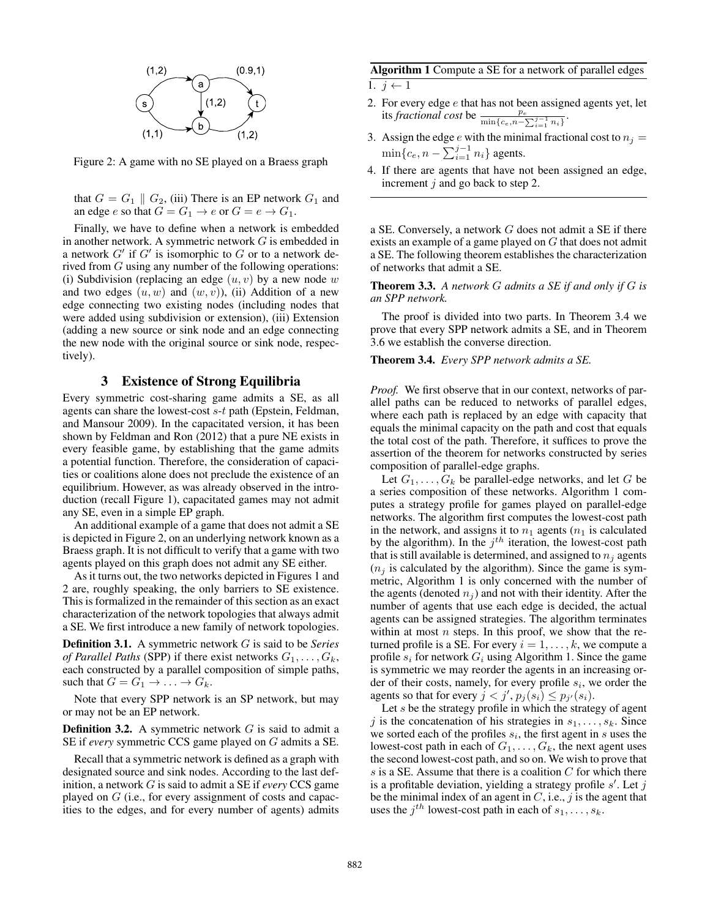

Figure 2: A game with no SE played on a Braess graph

that  $G = G_1 \parallel G_2$ , (iii) There is an EP network  $G_1$  and an edge  $e$  so that  $G = G_1 \rightarrow e$  or  $G = e \rightarrow G_1$ .

Finally, we have to define when a network is embedded in another network. A symmetric network  $G$  is embedded in a network  $G'$  if  $G'$  is isomorphic to  $G$  or to a network derived from G using any number of the following operations: (i) Subdivision (replacing an edge  $(u, v)$  by a new node w and two edges  $(u, w)$  and  $(w, v)$ , (ii) Addition of a new edge connecting two existing nodes (including nodes that were added using subdivision or extension), (iii) Extension (adding a new source or sink node and an edge connecting the new node with the original source or sink node, respectively).

## 3 Existence of Strong Equilibria

Every symmetric cost-sharing game admits a SE, as all agents can share the lowest-cost s-t path (Epstein, Feldman, and Mansour 2009). In the capacitated version, it has been shown by Feldman and Ron (2012) that a pure NE exists in every feasible game, by establishing that the game admits a potential function. Therefore, the consideration of capacities or coalitions alone does not preclude the existence of an equilibrium. However, as was already observed in the introduction (recall Figure 1), capacitated games may not admit any SE, even in a simple EP graph.

An additional example of a game that does not admit a SE is depicted in Figure 2, on an underlying network known as a Braess graph. It is not difficult to verify that a game with two agents played on this graph does not admit any SE either.

As it turns out, the two networks depicted in Figures 1 and 2 are, roughly speaking, the only barriers to SE existence. This is formalized in the remainder of this section as an exact characterization of the network topologies that always admit a SE. We first introduce a new family of network topologies.

Definition 3.1. A symmetric network G is said to be *Series of Parallel Paths* (SPP) if there exist networks  $G_1, \ldots, G_k$ , each constructed by a parallel composition of simple paths, such that  $G = G_1 \rightarrow \ldots \rightarrow G_k$ .

Note that every SPP network is an SP network, but may or may not be an EP network.

**Definition 3.2.** A symmetric network  $G$  is said to admit a SE if *every* symmetric CCS game played on G admits a SE.

Recall that a symmetric network is defined as a graph with designated source and sink nodes. According to the last definition, a network G is said to admit a SE if *every* CCS game played on G (i.e., for every assignment of costs and capacities to the edges, and for every number of agents) admits

## Algorithm 1 Compute a SE for a network of parallel edges

1.  $j \leftarrow 1$ 

- 2. For every edge  $e$  that has not been assigned agents yet, let its *fractional cost* be  $\frac{p_e}{\min\{c_e, n - \sum_{i=1}^{j-1} n_i\}}$ .
- 3. Assign the edge e with the minimal fractional cost to  $n_i =$  $\min\{c_e, n-\sum_{i=1}^{j-1} n_i\}$  agents.
- 4. If there are agents that have not been assigned an edge, increment  $j$  and go back to step 2.

a SE. Conversely, a network  $G$  does not admit a SE if there exists an example of a game played on G that does not admit a SE. The following theorem establishes the characterization of networks that admit a SE.

Theorem 3.3. *A network* G *admits a SE if and only if* G *is an SPP network.*

The proof is divided into two parts. In Theorem 3.4 we prove that every SPP network admits a SE, and in Theorem 3.6 we establish the converse direction.

#### Theorem 3.4. *Every SPP network admits a SE.*

*Proof.* We first observe that in our context, networks of parallel paths can be reduced to networks of parallel edges, where each path is replaced by an edge with capacity that equals the minimal capacity on the path and cost that equals the total cost of the path. Therefore, it suffices to prove the assertion of the theorem for networks constructed by series composition of parallel-edge graphs.

Let  $G_1, \ldots, G_k$  be parallel-edge networks, and let G be a series composition of these networks. Algorithm 1 computes a strategy profile for games played on parallel-edge networks. The algorithm first computes the lowest-cost path in the network, and assigns it to  $n_1$  agents  $(n_1$  is calculated by the algorithm). In the  $j<sup>th</sup>$  iteration, the lowest-cost path that is still available is determined, and assigned to  $n_i$  agents  $(n_i)$  is calculated by the algorithm). Since the game is symmetric, Algorithm 1 is only concerned with the number of the agents (denoted  $n<sub>j</sub>$ ) and not with their identity. After the number of agents that use each edge is decided, the actual agents can be assigned strategies. The algorithm terminates within at most  $n$  steps. In this proof, we show that the returned profile is a SE. For every  $i = 1, \ldots, k$ , we compute a profile  $s_i$  for network  $G_i$  using Algorithm 1. Since the game is symmetric we may reorder the agents in an increasing order of their costs, namely, for every profile  $s_i$ , we order the agents so that for every  $j < j', p_j(s_i) \leq p_{j'}(s_i)$ .

Let s be the strategy profile in which the strategy of agent j is the concatenation of his strategies in  $s_1, \ldots, s_k$ . Since we sorted each of the profiles  $s_i$ , the first agent in s uses the lowest-cost path in each of  $G_1, \ldots, G_k$ , the next agent uses the second lowest-cost path, and so on. We wish to prove that  $s$  is a SE. Assume that there is a coalition  $C$  for which there is a profitable deviation, yielding a strategy profile  $s'$ . Let j be the minimal index of an agent in  $C$ , i.e., j is the agent that uses the  $j^{th}$  lowest-cost path in each of  $s_1, \ldots, s_k$ .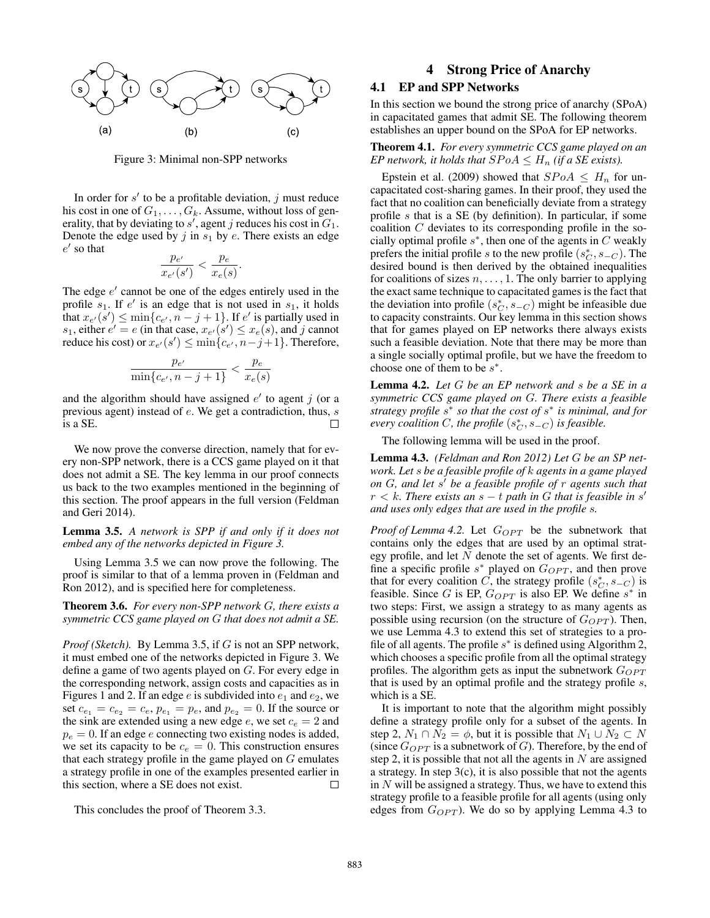

Figure 3: Minimal non-SPP networks

In order for  $s'$  to be a profitable deviation, j must reduce his cost in one of  $G_1, \ldots, G_k$ . Assume, without loss of generality, that by deviating to  $s'$ , agent j reduces his cost in  $G_1$ . Denote the edge used by j in  $s_1$  by e. There exists an edge  $e'$  so that

$$
\frac{p_{e'}}{x_{e'}(s')} < \frac{p_e}{x_e(s)}.
$$

The edge  $e'$  cannot be one of the edges entirely used in the profile  $s_1$ . If  $e'$  is an edge that is not used in  $s_1$ , it holds that  $x_{e'}(s') \le \min\{c_{e'}, n - j + 1\}$ . If  $e'$  is partially used in  $s_1$ , either  $e' = e$  (in that case,  $x_{e'}(s') \leq x_e(s)$ , and j cannot reduce his cost) or  $x_{e'}(s') \le \min\{c_{e'}, n-j+1\}$ . Therefore,

$$
\frac{p_{e'}}{\min\{c_{e'}, n-j+1\}} < \frac{p_e}{x_e(s)}
$$

and the algorithm should have assigned  $e'$  to agent  $j$  (or a previous agent) instead of e. We get a contradiction, thus, s is a SE. П

We now prove the converse direction, namely that for every non-SPP network, there is a CCS game played on it that does not admit a SE. The key lemma in our proof connects us back to the two examples mentioned in the beginning of this section. The proof appears in the full version (Feldman and Geri 2014).

Lemma 3.5. *A network is SPP if and only if it does not embed any of the networks depicted in Figure 3.*

Using Lemma 3.5 we can now prove the following. The proof is similar to that of a lemma proven in (Feldman and Ron 2012), and is specified here for completeness.

Theorem 3.6. *For every non-SPP network* G*, there exists a symmetric CCS game played on* G *that does not admit a SE.*

*Proof (Sketch).* By Lemma 3.5, if G is not an SPP network, it must embed one of the networks depicted in Figure 3. We define a game of two agents played on G. For every edge in the corresponding network, assign costs and capacities as in Figures 1 and 2. If an edge  $e$  is subdivided into  $e_1$  and  $e_2$ , we set  $c_{e_1} = c_{e_2} = c_e$ ,  $p_{e_1} = p_e$ , and  $p_{e_2} = 0$ . If the source or the sink are extended using a new edge e, we set  $c_e = 2$  and  $p_e = 0$ . If an edge e connecting two existing nodes is added, we set its capacity to be  $c_e = 0$ . This construction ensures that each strategy profile in the game played on  $G$  emulates a strategy profile in one of the examples presented earlier in this section, where a SE does not exist. □

This concludes the proof of Theorem 3.3.

# 4 Strong Price of Anarchy

## 4.1 EP and SPP Networks

In this section we bound the strong price of anarchy (SPoA) in capacitated games that admit SE. The following theorem establishes an upper bound on the SPoA for EP networks.

Theorem 4.1. *For every symmetric CCS game played on an EP network, it holds that*  $SPoA \leq H_n$  *(if a SE exists).* 

Epstein et al. (2009) showed that  $SPoA \leq H_n$  for uncapacitated cost-sharing games. In their proof, they used the fact that no coalition can beneficially deviate from a strategy profile s that is a SE (by definition). In particular, if some coalition  $C$  deviates to its corresponding profile in the socially optimal profile  $s^*$ , then one of the agents in  $C$  weakly prefers the initial profile s to the new profile  $(s_C^*, s_{-C})$ . The desired bound is then derived by the obtained inequalities for coalitions of sizes  $n, \ldots, 1$ . The only barrier to applying the exact same technique to capacitated games is the fact that the deviation into profile  $(s_C^*, s_{-C})$  might be infeasible due to capacity constraints. Our key lemma in this section shows that for games played on EP networks there always exists such a feasible deviation. Note that there may be more than a single socially optimal profile, but we have the freedom to choose one of them to be  $s^*$ .

Lemma 4.2. *Let* G *be an EP network and* s *be a SE in a symmetric CCS game played on* G*. There exists a feasible strategy profile* s ∗ *so that the cost of* s ∗ *is minimal, and for*  $every$  *coalition*  $C$ *, the profile*  $(s_C^*, s_{-C})$  *is feasible.* 

The following lemma will be used in the proof.

Lemma 4.3. *(Feldman and Ron 2012) Let* G *be an SP network. Let* s *be a feasible profile of* k *agents in a game played on* G*, and let* s <sup>0</sup> *be a feasible profile of* r *agents such that*  $r < k$ . There exists an  $s - t$  path in G that is feasible in  $s'$ *and uses only edges that are used in the profile* s*.*

*Proof of Lemma 4.2.* Let  $G_{OPT}$  be the subnetwork that contains only the edges that are used by an optimal strategy profile, and let  $N$  denote the set of agents. We first define a specific profile  $s^*$  played on  $G_{OPT}$ , and then prove that for every coalition  $\tilde{C}$ , the strategy profile  $(s_C^*, s_{-C})$  is feasible. Since G is EP,  $G_{OPT}$  is also EP. We define  $s^*$  in two steps: First, we assign a strategy to as many agents as possible using recursion (on the structure of  $G_{OPT}$ ). Then, we use Lemma 4.3 to extend this set of strategies to a profile of all agents. The profile  $s^*$  is defined using Algorithm 2, which chooses a specific profile from all the optimal strategy profiles. The algorithm gets as input the subnetwork  $G_{OPT}$ that is used by an optimal profile and the strategy profile  $s$ , which is a SE.

It is important to note that the algorithm might possibly define a strategy profile only for a subset of the agents. In step 2,  $N_1 \cap N_2 = \phi$ , but it is possible that  $N_1 \cup N_2 \subset N$ (since  $G_{OPT}$  is a subnetwork of G). Therefore, by the end of step 2, it is possible that not all the agents in  $N$  are assigned a strategy. In step  $3(c)$ , it is also possible that not the agents in  $N$  will be assigned a strategy. Thus, we have to extend this strategy profile to a feasible profile for all agents (using only edges from  $G_{OPT}$ ). We do so by applying Lemma 4.3 to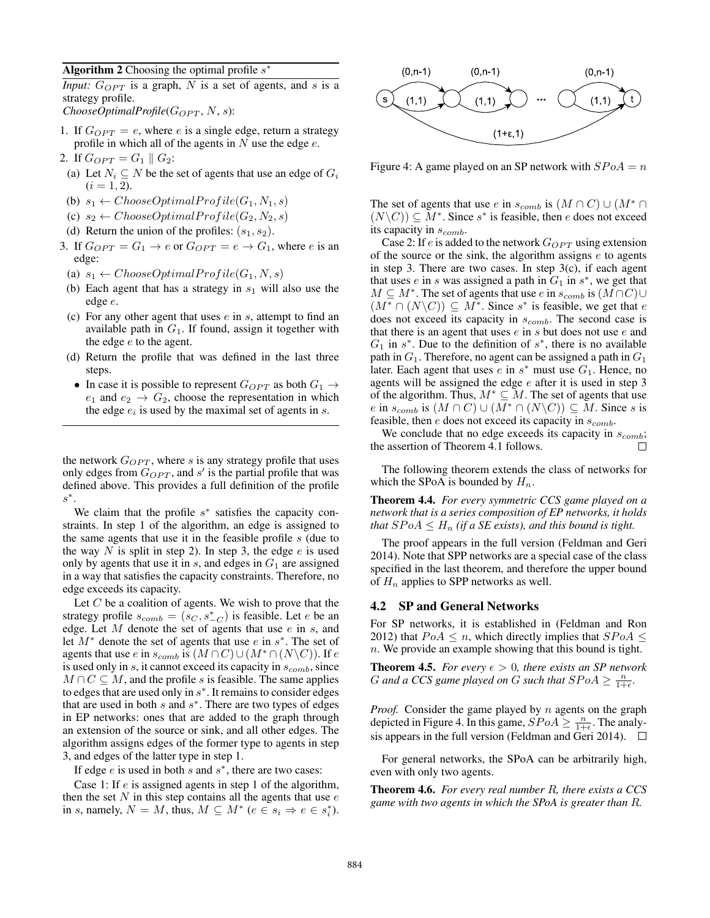Algorithm 2 Choosing the optimal profile  $s^*$ 

*Input:*  $G_{OPT}$  is a graph, N is a set of agents, and s is a strategy profile.

 $ChooseOptimal Profile(G_{OPT}, N, s)$ :

- 1. If  $G_{OPT} = e$ , where e is a single edge, return a strategy profile in which all of the agents in  $N$  use the edge  $e$ .
- 2. If  $G_{OPT} = G_1 || G_2$ :
- (a) Let  $N_i \subseteq N$  be the set of agents that use an edge of  $G_i$  $(i = 1, 2).$
- (b)  $s_1 \leftarrow ChooseOptimal Profile(G_1, N_1, s)$
- (c)  $s_2 \leftarrow ChooseOptimal Profile(G_2, N_2, s)$
- (d) Return the union of the profiles:  $(s_1, s_2)$ .
- 3. If  $G_{OPT} = G_1 \rightarrow e$  or  $G_{OPT} = e \rightarrow G_1$ , where e is an edge:
	- (a)  $s_1 \leftarrow ChooseOptimal Profile(G_1, N, s)$
- (b) Each agent that has a strategy in  $s_1$  will also use the edge e.
- (c) For any other agent that uses  $e$  in  $s$ , attempt to find an available path in  $G_1$ . If found, assign it together with the edge  $e$  to the agent.
- (d) Return the profile that was defined in the last three steps.
- In case it is possible to represent  $G_{OPT}$  as both  $G_1 \rightarrow$  $e_1$  and  $e_2 \rightarrow G_2$ , choose the representation in which the edge  $e_i$  is used by the maximal set of agents in  $s$ .

the network  $G_{OPT}$ , where s is any strategy profile that uses only edges from  $G_{OPT}$ , and s' is the partial profile that was defined above. This provides a full definition of the profile  $s^*$ .

We claim that the profile  $s^*$  satisfies the capacity constraints. In step 1 of the algorithm, an edge is assigned to the same agents that use it in the feasible profile  $s$  (due to the way N is split in step 2). In step 3, the edge  $e$  is used only by agents that use it in  $s$ , and edges in  $G_1$  are assigned in a way that satisfies the capacity constraints. Therefore, no edge exceeds its capacity.

Let  $C$  be a coalition of agents. We wish to prove that the strategy profile  $s_{comb} = (s_C, s_{-C}^*)$  is feasible. Let e be an edge. Let  $M$  denote the set of agents that use  $e$  in  $s$ , and let  $M^*$  denote the set of agents that use  $e$  in  $s^*$ . The set of agents that use e in  $s_{comb}$  is  $(M \cap C) \cup (M^* \cap (N \setminus C))$ . If e is used only in  $s$ , it cannot exceed its capacity in  $s_{comb}$ , since  $M \cap C \subseteq M$ , and the profile s is feasible. The same applies to edges that are used only in  $s^*$ . It remains to consider edges that are used in both  $s$  and  $s^*$ . There are two types of edges in EP networks: ones that are added to the graph through an extension of the source or sink, and all other edges. The algorithm assigns edges of the former type to agents in step 3, and edges of the latter type in step 1.

If edge  $e$  is used in both  $s$  and  $s^*$ , there are two cases:

Case 1: If e is assigned agents in step 1 of the algorithm, then the set  $N$  in this step contains all the agents that use  $e$ in s, namely,  $N = M$ , thus,  $M \subseteq M^*$   $(e \in s_i \Rightarrow e \in s_i^*)$ .



Figure 4: A game played on an SP network with  $SPoA = n$ 

The set of agents that use e in  $s_{comb}$  is  $(M \cap C) \cup (M^* \cap C)$  $(N\setminus C)) \subseteq M^*$ . Since s<sup>\*</sup> is feasible, then e does not exceed its capacity in  $s_{comb}$ .

Case 2: If  $e$  is added to the network  $G_{OPT}$  using extension of the source or the sink, the algorithm assigns  $e$  to agents in step 3. There are two cases. In step  $3(c)$ , if each agent that uses  $e$  in  $s$  was assigned a path in  $G_1$  in  $s^*$ , we get that  $M \subseteq M^*$ . The set of agents that use e in  $s_{comb}$  is  $(M \cap C) \cup$  $(M^* \cap (N \backslash C)) \subseteq M^*$ . Since s<sup>\*</sup> is feasible, we get that e does not exceed its capacity in  $s_{comb}$ . The second case is that there is an agent that uses  $e$  in  $s$  but does not use  $e$  and  $G_1$  in  $s^*$ . Due to the definition of  $s^*$ , there is no available path in  $G_1$ . Therefore, no agent can be assigned a path in  $G_1$ later. Each agent that uses  $e$  in  $s^*$  must use  $G_1$ . Hence, no agents will be assigned the edge e after it is used in step 3 of the algorithm. Thus,  $M^* \subseteq M$ . The set of agents that use e in  $s_{comb}$  is  $(M \cap C) \cup (M^* \cap (N \backslash C)) \subseteq M$ . Since s is feasible, then  $e$  does not exceed its capacity in  $s_{comb}$ .

We conclude that no edge exceeds its capacity in  $s_{comb}$ ; the assertion of Theorem 4.1 follows. П

The following theorem extends the class of networks for which the SPoA is bounded by  $H_n$ .

Theorem 4.4. *For every symmetric CCS game played on a network that is a series composition of EP networks, it holds that*  $SPoA \leq H_n$  *(if a SE exists), and this bound is tight.* 

The proof appears in the full version (Feldman and Geri 2014). Note that SPP networks are a special case of the class specified in the last theorem, and therefore the upper bound of  $H_n$  applies to SPP networks as well.

## 4.2 SP and General Networks

For SP networks, it is established in (Feldman and Ron 2012) that  $PoA \leq n$ , which directly implies that  $SPoA \leq$ n. We provide an example showing that this bound is tight.

**Theorem 4.5.** *For every*  $\epsilon > 0$ *, there exists an SP network G* and a CCS game played on *G* such that  $SPoA \geq \frac{n}{1+\epsilon}$ .

*Proof.* Consider the game played by n agents on the graph depicted in Figure 4. In this game,  $SPoA \geq \frac{n}{1+\epsilon}$ . The analysis appears in the full version (Feldman and Geri 2014).  $\Box$ 

For general networks, the SPoA can be arbitrarily high, even with only two agents.

Theorem 4.6. *For every real number* R*, there exists a CCS game with two agents in which the SPoA is greater than* R*.*